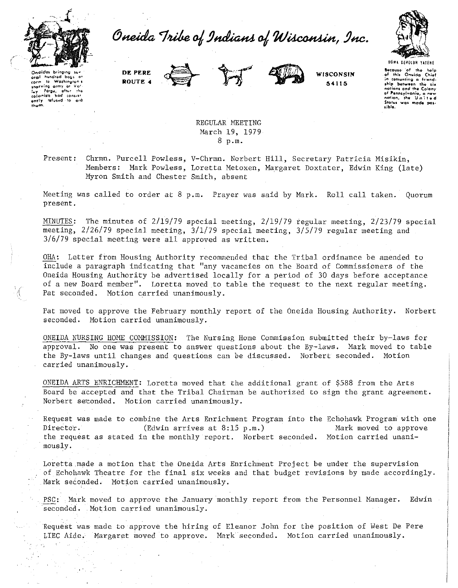

Oneida Tribe of Indians of Wisconsin, Inc.



hundred .<br>bagi oral to Washington's corn starving army of Vali<br>Tuy : Forge, latter the<br>colonists had consist ently refused to aid

DE PERE ROUTE 4



WISCONSIN 54115

Because of the help<br>of this Oneida Chief of this Oneida Chief<br>in tementing a friend-<br>ship between the six nations and the Colony of Pennsylvania, a new<br>nation, the United<br>States was made pascible.

## REGULAR MEETING March 19, 1979  $8 p.m.$

Present:

Chrmn. Purcell Powless, V-Chrmn. Norbert Hill, Secretary Patricia Misikin, Members: Mark Powless, Loretta Metoxen, Margaret Doxtater, Edwin King (late) Myron Smith and Chester Smith, absent

Meeting was called to order at 8 p.m. Prayer was said by Mark. Roll call taken. Quorum present.

MINUTES: The minutes of  $2/19/79$  special meeting,  $2/19/79$  regular meeting,  $2/23/79$  special meeting,  $2/26/79$  special meeting,  $3/1/79$  special meeting,  $3/5/79$  regular meeting and  $3/6/79$  special meeting were all approved as written.

OHA: Letter from Housing Authority recommended that the Tribal ordinance be amended to include a paragraph indicating that "any vacancies on the Board of Commissioners of the Oneida Housing Authority be advertised locally for a period of 30 days before acceptance of a new Board member". Loretta moved to table the request to the next regular meeting. Pat seconded. Motion carried unanimously.

Pat moved to approve the February monthly report of the Oneida Housing Authority. Norbert seconded. Motion carried unanimously.

ONEIDA NURSING HOME COMMISSION: The Nursing Home Commission submitted their by-laws for approval. No one was present to answer questions about the By-laws. Mark moved to table the By-laws until changes and questions can be discussed. Norbert seconded. Motion carried unanimously.

ONEIDA ARTS ENRICHMENT: Loretta moved that the additional grant of \$588 from the Arts Board be accepted and that the Tribal Chairman be authorized to sign the grant agreement. Norbert seconded. Motion carried unanimously.

Request was made to combine the Arts Enrichment Program into the Echohawk Program with one Director. (Edwin arrives at  $8:15$  p.m.) Mark moved to approve the request as stated in the monthly report. Norbert seconded. Motion carried unani $mously.$ 

Loretta made a motion that the Oneida Arts Enrichment Project be under the supervision of Echohawk Theatre for the final six weeks and that budget revisions by made accordingly. Mark seconded. Motion carried unanimously.

PSC: Mark moved to approve the January monthly report from the Personnel Manager. Edwin seconded. Motion carried unanimously.

Request was made to approve the hiring of Eleanor John for the position of West De Pere LIEC Aide. Margaret moved to approve. Mark seconded. Motion carried unanimously.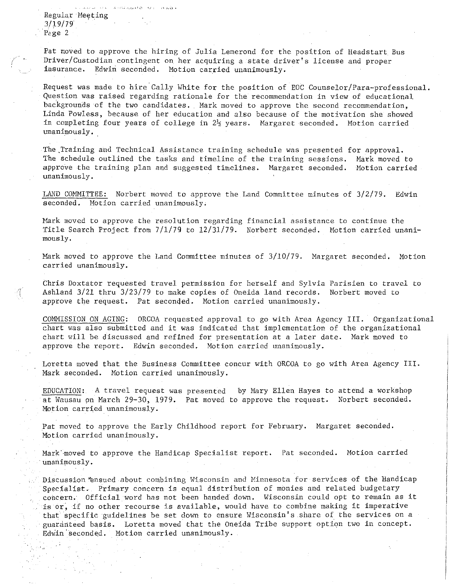$A + C \, G + A + C \, F + C \, F$ **KALL BUGGE** Regular Meeting 3/19/79 Pege 2

Pat moved to approve the hiring of Julia Lemerond for the position of Headstart Bus Driver/Custodian contingent on her acquiring a state driver's license and proper insurance. Edwin seconded. Motion carried unanimously. Edwin seconded. Motion carried unanimously.

Request was made to hire Cally White for the position of EOC Counselor/Para-professional. **Question was raised regarding rationale for the recommendation in view of educational**  bac'kgrounds of the two candidates. Mark moved to approve the second recommendation, Linda Powless, because of her education and also because of the motivation she showed in completing four years of college in  $2\frac{1}{2}$  years. Margaret seconded. Motion carried **unanimously.** 

The.Training and Technical Assistance training schedule was presented for approval. The schedule outlined the tasks and timeline of the training sessions. Mark moved to approve the training plan and suggested timelines. Margaret seconded. Motion carried **unanimously.** 

LAND COMMITTEE: Norbert moved to approve the Land Committee minutes of 3/2/79. Edwin seconded. Motion carried unanimously.

Mark moved to approve the resolution regarding financial assistance to continue the Title Search Project from 7/1/79 to 12/31/79. Norbert seconded. Motion carried unanimously.

Mark moved to approve the Land Committee minutes of 3/10/79. Margaret seconded. Motion **carried unanimously.** 

Chris Doxtater requested travel permission for herself and Sylvia **Parisien to travel to**  Ashland 3/21 thru 3/23/79 to make copies of Oneida land records. Norbert moved to approve the request. Pat seconded. Motion carried unanimously.

COMMISSION ON AGING: ORCOA requested approval to go with Area Agency III. Organizational chart was also submitted and it was indicated that implementation of the organizational chart will be discussed and refined for presentation at a later date. Mark moved to approve the report. Edwin seconded. Motion carried unanimously.

Loretta moved that the Business Committee concur with ORCOA to go with Area Agency III. Mark seconded. Motion carried unanimously.

EDUCATION: A travel request was presented by Mary Ellen Hayes to attend a workshop at Wausau pn March 29-30, 1979. Pat moved to approve the request. Norbert seconded. Motion carried unanimously.

Pat moved to approve the Early Childhood report for February. Margaret seconded. **Motion carried unanimously.** 

Mark'·moved to approve the Handicap Specialist report. Pat seconded. Motion carried **unanimously.** 

Discussion~ensued **about combining Wisconsin and Minnesota for services of the Handicap**  Specialist. Primary concern is equal distribution of monies and related budgetary concern. Official word has not been handed down. Wisconsin could opt to remain as it is or, if no other recourse is available, would have to combine making it imperative that specific guidelines be set down to ensure Wisconsin's share of the services on a · guaranteed basis. Loretta moved that the Oneida Tribe support option two in concept. Edwin'seconded. Motion carried unanimously.